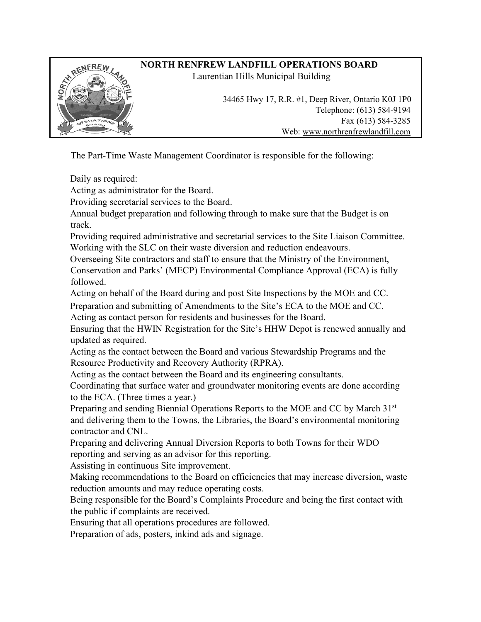

The Part-Time Waste Management Coordinator is responsible for the following:

Daily as required:

Acting as administrator for the Board.

Providing secretarial services to the Board.

Annual budget preparation and following through to make sure that the Budget is on track.

Providing required administrative and secretarial services to the Site Liaison Committee. Working with the SLC on their waste diversion and reduction endeavours.

Overseeing Site contractors and staff to ensure that the Ministry of the Environment, Conservation and Parks' (MECP) Environmental Compliance Approval (ECA) is fully followed.

Acting on behalf of the Board during and post Site Inspections by the MOE and CC.

Preparation and submitting of Amendments to the Site's ECA to the MOE and CC.

Acting as contact person for residents and businesses for the Board.

Ensuring that the HWIN Registration for the Site's HHW Depot is renewed annually and updated as required.

Acting as the contact between the Board and various Stewardship Programs and the Resource Productivity and Recovery Authority (RPRA).

Acting as the contact between the Board and its engineering consultants.

Coordinating that surface water and groundwater monitoring events are done according to the ECA. (Three times a year.)

Preparing and sending Biennial Operations Reports to the MOE and CC by March 31st and delivering them to the Towns, the Libraries, the Board's environmental monitoring contractor and CNL.

Preparing and delivering Annual Diversion Reports to both Towns for their WDO reporting and serving as an advisor for this reporting.

Assisting in continuous Site improvement.

Making recommendations to the Board on efficiencies that may increase diversion, waste reduction amounts and may reduce operating costs.

Being responsible for the Board's Complaints Procedure and being the first contact with the public if complaints are received.

Ensuring that all operations procedures are followed.

Preparation of ads, posters, inkind ads and signage.